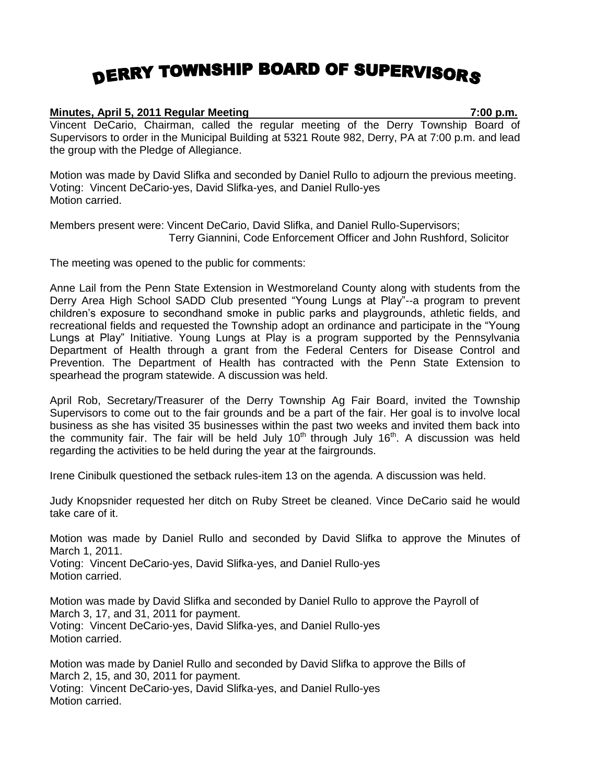## **DERRY TOWNSHIP BOARD OF SUPERVISORS**

## **Minutes, April 5, 2011 Regular Meeting 7:00 p.m.**

Vincent DeCario, Chairman, called the regular meeting of the Derry Township Board of Supervisors to order in the Municipal Building at 5321 Route 982, Derry, PA at 7:00 p.m. and lead the group with the Pledge of Allegiance.

Motion was made by David Slifka and seconded by Daniel Rullo to adjourn the previous meeting. Voting: Vincent DeCario-yes, David Slifka-yes, and Daniel Rullo-yes Motion carried.

Members present were: Vincent DeCario, David Slifka, and Daniel Rullo-Supervisors; Terry Giannini, Code Enforcement Officer and John Rushford, Solicitor

The meeting was opened to the public for comments:

Anne Lail from the Penn State Extension in Westmoreland County along with students from the Derry Area High School SADD Club presented "Young Lungs at Play"--a program to prevent children's exposure to secondhand smoke in public parks and playgrounds, athletic fields, and recreational fields and requested the Township adopt an ordinance and participate in the "Young Lungs at Play" Initiative. Young Lungs at Play is a program supported by the Pennsylvania Department of Health through a grant from the Federal Centers for Disease Control and Prevention. The Department of Health has contracted with the Penn State Extension to spearhead the program statewide. A discussion was held.

April Rob, Secretary/Treasurer of the Derry Township Ag Fair Board, invited the Township Supervisors to come out to the fair grounds and be a part of the fair. Her goal is to involve local business as she has visited 35 businesses within the past two weeks and invited them back into the community fair. The fair will be held July 10<sup>th</sup> through July 16<sup>th</sup>. A discussion was held regarding the activities to be held during the year at the fairgrounds.

Irene Cinibulk questioned the setback rules-item 13 on the agenda. A discussion was held.

Judy Knopsnider requested her ditch on Ruby Street be cleaned. Vince DeCario said he would take care of it.

Motion was made by Daniel Rullo and seconded by David Slifka to approve the Minutes of March 1, 2011.

Voting: Vincent DeCario-yes, David Slifka-yes, and Daniel Rullo-yes Motion carried.

Motion was made by David Slifka and seconded by Daniel Rullo to approve the Payroll of March 3, 17, and 31, 2011 for payment. Voting: Vincent DeCario-yes, David Slifka-yes, and Daniel Rullo-yes Motion carried.

Motion was made by Daniel Rullo and seconded by David Slifka to approve the Bills of March 2, 15, and 30, 2011 for payment. Voting: Vincent DeCario-yes, David Slifka-yes, and Daniel Rullo-yes Motion carried.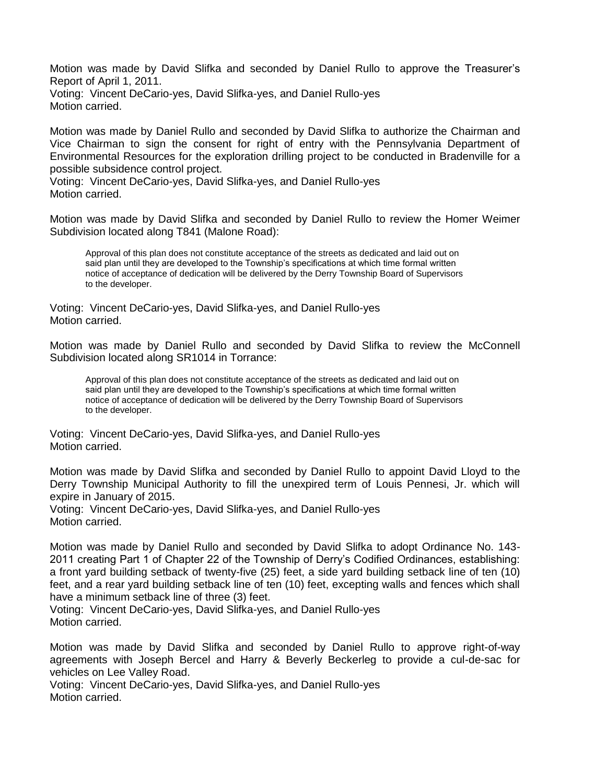Motion was made by David Slifka and seconded by Daniel Rullo to approve the Treasurer's Report of April 1, 2011.

Voting: Vincent DeCario-yes, David Slifka-yes, and Daniel Rullo-yes Motion carried.

Motion was made by Daniel Rullo and seconded by David Slifka to authorize the Chairman and Vice Chairman to sign the consent for right of entry with the Pennsylvania Department of Environmental Resources for the exploration drilling project to be conducted in Bradenville for a possible subsidence control project.

Voting: Vincent DeCario-yes, David Slifka-yes, and Daniel Rullo-yes Motion carried.

Motion was made by David Slifka and seconded by Daniel Rullo to review the Homer Weimer Subdivision located along T841 (Malone Road):

Approval of this plan does not constitute acceptance of the streets as dedicated and laid out on said plan until they are developed to the Township's specifications at which time formal written notice of acceptance of dedication will be delivered by the Derry Township Board of Supervisors to the developer.

Voting: Vincent DeCario-yes, David Slifka-yes, and Daniel Rullo-yes Motion carried.

Motion was made by Daniel Rullo and seconded by David Slifka to review the McConnell Subdivision located along SR1014 in Torrance:

Approval of this plan does not constitute acceptance of the streets as dedicated and laid out on said plan until they are developed to the Township's specifications at which time formal written notice of acceptance of dedication will be delivered by the Derry Township Board of Supervisors to the developer.

Voting: Vincent DeCario-yes, David Slifka-yes, and Daniel Rullo-yes Motion carried.

Motion was made by David Slifka and seconded by Daniel Rullo to appoint David Lloyd to the Derry Township Municipal Authority to fill the unexpired term of Louis Pennesi, Jr. which will expire in January of 2015.

Voting: Vincent DeCario-yes, David Slifka-yes, and Daniel Rullo-yes Motion carried.

Motion was made by Daniel Rullo and seconded by David Slifka to adopt Ordinance No. 143- 2011 creating Part 1 of Chapter 22 of the Township of Derry's Codified Ordinances, establishing: a front yard building setback of twenty-five (25) feet, a side yard building setback line of ten (10) feet, and a rear yard building setback line of ten (10) feet, excepting walls and fences which shall have a minimum setback line of three (3) feet.

Voting: Vincent DeCario-yes, David Slifka-yes, and Daniel Rullo-yes Motion carried.

Motion was made by David Slifka and seconded by Daniel Rullo to approve right-of-way agreements with Joseph Bercel and Harry & Beverly Beckerleg to provide a cul-de-sac for vehicles on Lee Valley Road.

Voting: Vincent DeCario-yes, David Slifka-yes, and Daniel Rullo-yes Motion carried.